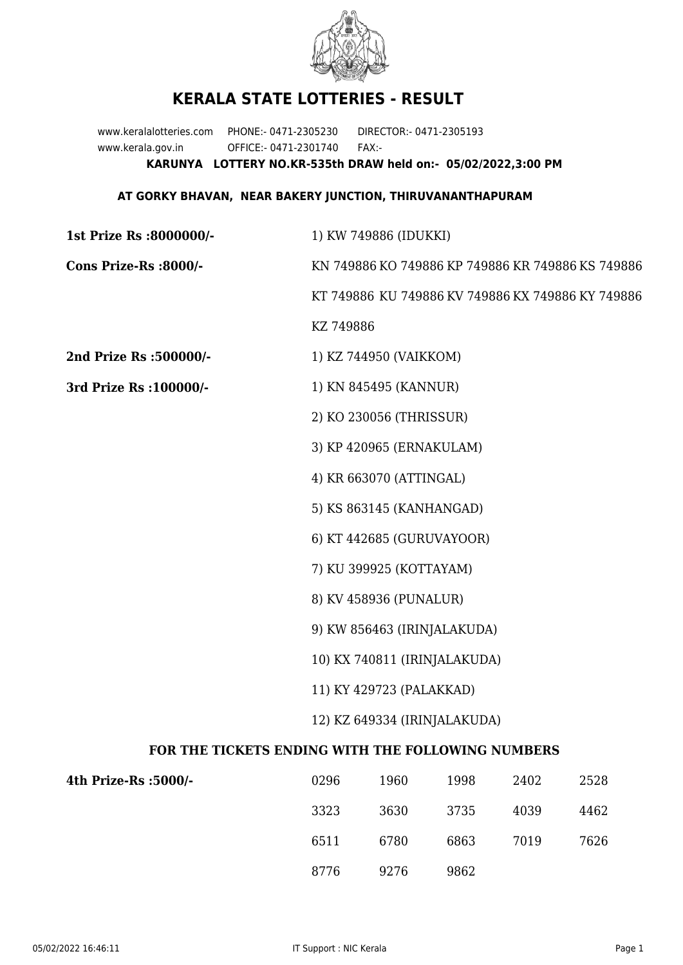

## **KERALA STATE LOTTERIES - RESULT**

www.keralalotteries.com PHONE:- 0471-2305230 DIRECTOR:- 0471-2305193 www.kerala.gov.in OFFICE:- 0471-2301740 FAX:- **KARUNYA LOTTERY NO.KR-535th DRAW held on:- 05/02/2022,3:00 PM**

## **AT GORKY BHAVAN, NEAR BAKERY JUNCTION, THIRUVANANTHAPURAM**

| 1st Prize Rs :8000000/-                           | 1) KW 749886 (IDUKKI)                                                                                  |                        |      |      |      |  |  |
|---------------------------------------------------|--------------------------------------------------------------------------------------------------------|------------------------|------|------|------|--|--|
| Cons Prize-Rs :8000/-                             | KN 749886 KO 749886 KP 749886 KR 749886 KS 749886<br>KT 749886 KU 749886 KV 749886 KX 749886 KY 749886 |                        |      |      |      |  |  |
|                                                   |                                                                                                        |                        |      |      |      |  |  |
|                                                   | KZ 749886                                                                                              |                        |      |      |      |  |  |
| 2nd Prize Rs :500000/-                            |                                                                                                        | 1) KZ 744950 (VAIKKOM) |      |      |      |  |  |
| 3rd Prize Rs : 100000/-                           | 1) KN 845495 (KANNUR)                                                                                  |                        |      |      |      |  |  |
|                                                   | 2) KO 230056 (THRISSUR)                                                                                |                        |      |      |      |  |  |
|                                                   | 3) KP 420965 (ERNAKULAM)                                                                               |                        |      |      |      |  |  |
|                                                   | 4) KR 663070 (ATTINGAL)                                                                                |                        |      |      |      |  |  |
|                                                   | 5) KS 863145 (KANHANGAD)                                                                               |                        |      |      |      |  |  |
|                                                   | 6) KT 442685 (GURUVAYOOR)                                                                              |                        |      |      |      |  |  |
|                                                   | 7) KU 399925 (KOTTAYAM)                                                                                |                        |      |      |      |  |  |
|                                                   | 8) KV 458936 (PUNALUR)                                                                                 |                        |      |      |      |  |  |
|                                                   | 9) KW 856463 (IRINJALAKUDA)<br>10) KX 740811 (IRINJALAKUDA)                                            |                        |      |      |      |  |  |
|                                                   |                                                                                                        |                        |      |      |      |  |  |
|                                                   | 11) KY 429723 (PALAKKAD)<br>12) KZ 649334 (IRINJALAKUDA)                                               |                        |      |      |      |  |  |
|                                                   |                                                                                                        |                        |      |      |      |  |  |
| FOR THE TICKETS ENDING WITH THE FOLLOWING NUMBERS |                                                                                                        |                        |      |      |      |  |  |
| 4th Prize-Rs :5000/-                              | 0296                                                                                                   | 1960                   | 1998 | 2402 | 2528 |  |  |
|                                                   | 3323                                                                                                   | 3630                   | 3735 | 4039 | 4462 |  |  |

8776 9276 9862

6511 6780 6863 7019 7626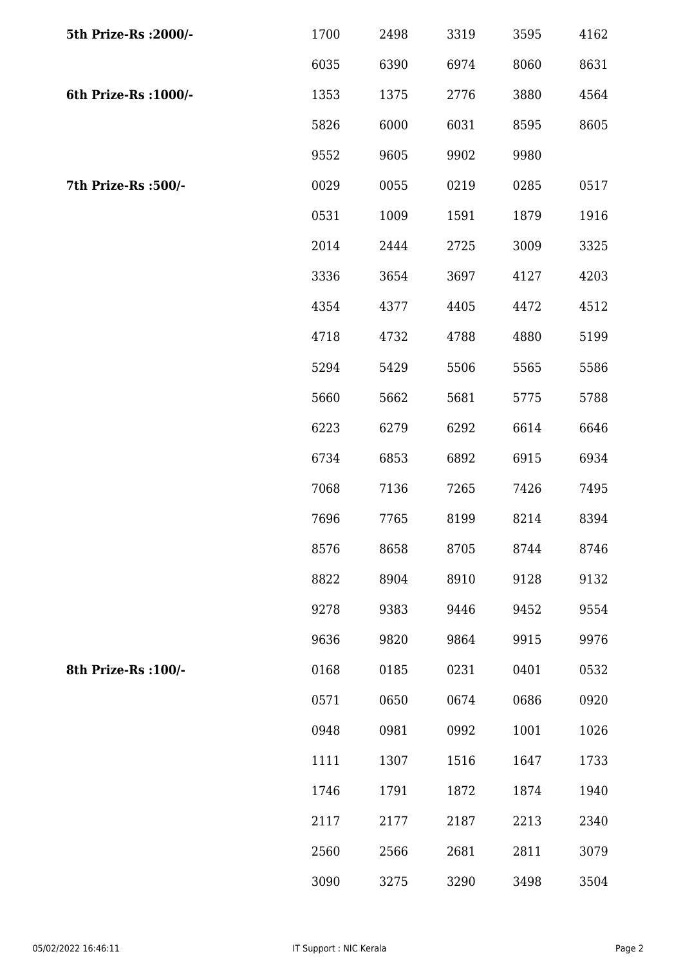| 5th Prize-Rs : 2000/- | 1700 | 2498 | 3319 | 3595 | 4162 |
|-----------------------|------|------|------|------|------|
|                       | 6035 | 6390 | 6974 | 8060 | 8631 |
| 6th Prize-Rs : 1000/- | 1353 | 1375 | 2776 | 3880 | 4564 |
|                       | 5826 | 6000 | 6031 | 8595 | 8605 |
|                       | 9552 | 9605 | 9902 | 9980 |      |
| 7th Prize-Rs : 500/-  | 0029 | 0055 | 0219 | 0285 | 0517 |
|                       | 0531 | 1009 | 1591 | 1879 | 1916 |
|                       | 2014 | 2444 | 2725 | 3009 | 3325 |
|                       | 3336 | 3654 | 3697 | 4127 | 4203 |
|                       | 4354 | 4377 | 4405 | 4472 | 4512 |
|                       | 4718 | 4732 | 4788 | 4880 | 5199 |
|                       | 5294 | 5429 | 5506 | 5565 | 5586 |
|                       | 5660 | 5662 | 5681 | 5775 | 5788 |
|                       | 6223 | 6279 | 6292 | 6614 | 6646 |
|                       | 6734 | 6853 | 6892 | 6915 | 6934 |
|                       | 7068 | 7136 | 7265 | 7426 | 7495 |
|                       | 7696 | 7765 | 8199 | 8214 | 8394 |
|                       | 8576 | 8658 | 8705 | 8744 | 8746 |
|                       | 8822 | 8904 | 8910 | 9128 | 9132 |
|                       | 9278 | 9383 | 9446 | 9452 | 9554 |
|                       | 9636 | 9820 | 9864 | 9915 | 9976 |
| 8th Prize-Rs : 100/-  | 0168 | 0185 | 0231 | 0401 | 0532 |
|                       | 0571 | 0650 | 0674 | 0686 | 0920 |
|                       | 0948 | 0981 | 0992 | 1001 | 1026 |
|                       | 1111 | 1307 | 1516 | 1647 | 1733 |
|                       | 1746 | 1791 | 1872 | 1874 | 1940 |
|                       | 2117 | 2177 | 2187 | 2213 | 2340 |
|                       | 2560 | 2566 | 2681 | 2811 | 3079 |
|                       | 3090 | 3275 | 3290 | 3498 | 3504 |